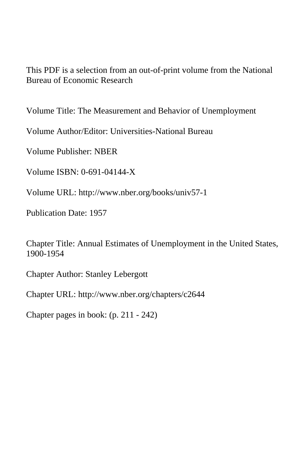This PDF is a selection from an out-of-print volume from the National Bureau of Economic Research

Volume Title: The Measurement and Behavior of Unemployment

Volume Author/Editor: Universities-National Bureau

Volume Publisher: NBER

Volume ISBN: 0-691-04144-X

Volume URL: http://www.nber.org/books/univ57-1

Publication Date: 1957

Chapter Title: Annual Estimates of Unemployment in the United States, 1900-1954

Chapter Author: Stanley Lebergott

Chapter URL: http://www.nber.org/chapters/c2644

Chapter pages in book: (p. 211 - 242)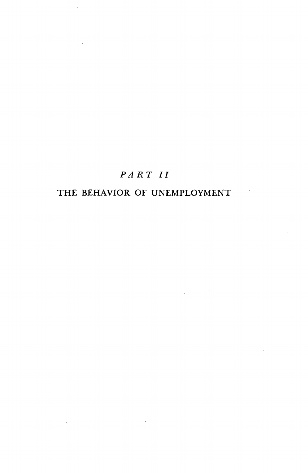# PART II

# THE BEHAVIOR OF UNEMPLOYMENT

 $\cdot$ 

 $\mathcal{L}_{\text{max}}$  and  $\mathcal{L}_{\text{max}}$  . The  $\mathcal{L}_{\text{max}}$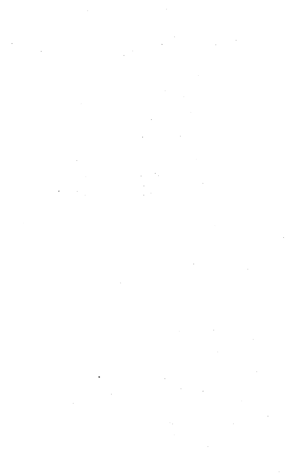$\label{eq:2} \frac{1}{\sqrt{2}}\left(\frac{1}{\sqrt{2}}\right)^{2} \left(\frac{1}{\sqrt{2}}\right)^{2} \left(\frac{1}{\sqrt{2}}\right)^{2} \left(\frac{1}{\sqrt{2}}\right)^{2} \left(\frac{1}{\sqrt{2}}\right)^{2} \left(\frac{1}{\sqrt{2}}\right)^{2} \left(\frac{1}{\sqrt{2}}\right)^{2} \left(\frac{1}{\sqrt{2}}\right)^{2} \left(\frac{1}{\sqrt{2}}\right)^{2} \left(\frac{1}{\sqrt{2}}\right)^{2} \left(\frac{1}{\sqrt{2}}\right)^{2} \left(\frac{$ 

 $\mathcal{L}^{\text{max}}_{\text{max}}$ 

 $\label{eq:2.1} \frac{1}{\sqrt{2}}\left(\frac{1}{\sqrt{2}}\right)^{2} \left(\frac{1}{\sqrt{2}}\right)^{2} \left(\frac{1}{\sqrt{2}}\right)^{2} \left(\frac{1}{\sqrt{2}}\right)^{2} \left(\frac{1}{\sqrt{2}}\right)^{2} \left(\frac{1}{\sqrt{2}}\right)^{2} \left(\frac{1}{\sqrt{2}}\right)^{2} \left(\frac{1}{\sqrt{2}}\right)^{2} \left(\frac{1}{\sqrt{2}}\right)^{2} \left(\frac{1}{\sqrt{2}}\right)^{2} \left(\frac{1}{\sqrt{2}}\right)^{2} \left(\$ 

 $\label{eq:2.1} \frac{1}{\sqrt{2\pi}}\int_{\mathbb{R}^3}\frac{1}{\sqrt{2\pi}}\int_{\mathbb{R}^3}\frac{1}{\sqrt{2\pi}}\int_{\mathbb{R}^3}\frac{1}{\sqrt{2\pi}}\int_{\mathbb{R}^3}\frac{1}{\sqrt{2\pi}}\int_{\mathbb{R}^3}\frac{1}{\sqrt{2\pi}}\frac{1}{\sqrt{2\pi}}\int_{\mathbb{R}^3}\frac{1}{\sqrt{2\pi}}\frac{1}{\sqrt{2\pi}}\frac{1}{\sqrt{2\pi}}\int_{\mathbb{R}^3}\frac{1}{\sqrt{2\pi}}\frac$  $\label{eq:2.1} \mathcal{L}(\mathcal{A}) = \mathcal{L}(\mathcal{A}) \mathcal{L}(\mathcal{A}) = \mathcal{L}(\mathcal{A})$  $\mathcal{L}^{\text{max}}_{\text{max}}$  ,  $\mathcal{L}^{\text{max}}_{\text{max}}$ 

 $\mathcal{L}_{\text{max}}$  and  $\mathcal{L}_{\text{max}}$ 

 $\label{eq:2.1} \frac{1}{\sqrt{2\pi}}\int_{\mathbb{R}^3}\frac{1}{\sqrt{2\pi}}\int_{\mathbb{R}^3}\frac{1}{\sqrt{2\pi}}\int_{\mathbb{R}^3}\frac{1}{\sqrt{2\pi}}\int_{\mathbb{R}^3}\frac{1}{\sqrt{2\pi}}\int_{\mathbb{R}^3}\frac{1}{\sqrt{2\pi}}\int_{\mathbb{R}^3}\frac{1}{\sqrt{2\pi}}\int_{\mathbb{R}^3}\frac{1}{\sqrt{2\pi}}\int_{\mathbb{R}^3}\frac{1}{\sqrt{2\pi}}\int_{\mathbb{R}^3}\frac{1$  $\label{eq:2.1} \frac{1}{\sqrt{2}}\left(\frac{1}{\sqrt{2}}\right)^{2} \left(\frac{1}{\sqrt{2}}\right)^{2} \left(\frac{1}{\sqrt{2}}\right)^{2} \left(\frac{1}{\sqrt{2}}\right)^{2} \left(\frac{1}{\sqrt{2}}\right)^{2} \left(\frac{1}{\sqrt{2}}\right)^{2} \left(\frac{1}{\sqrt{2}}\right)^{2} \left(\frac{1}{\sqrt{2}}\right)^{2} \left(\frac{1}{\sqrt{2}}\right)^{2} \left(\frac{1}{\sqrt{2}}\right)^{2} \left(\frac{1}{\sqrt{2}}\right)^{2} \left(\$ 

 $\mathcal{L}(\mathcal{A})$  .  $\label{eq:2.1} \frac{1}{\sqrt{2\pi}}\int_{0}^{\infty}\frac{1}{\sqrt{2\pi}}\left(\frac{1}{\sqrt{2\pi}}\right)^{2\alpha} \frac{1}{\sqrt{2\pi}}\left(\frac{1}{\sqrt{2\pi}}\right)^{\alpha} \frac{1}{\sqrt{2\pi}}\left(\frac{1}{\sqrt{2\pi}}\right)^{\alpha} \frac{1}{\sqrt{2\pi}}\left(\frac{1}{\sqrt{2\pi}}\right)^{\alpha} \frac{1}{\sqrt{2\pi}}\left(\frac{1}{\sqrt{2\pi}}\right)^{\alpha} \frac{1}{\sqrt{2\pi}}\left(\frac{1}{\sqrt{2\pi}}\right$ 

 $\label{eq:2.1} \begin{split} \mathcal{L}_{\text{max}}(\mathbf{r}) = \mathcal{L}_{\text{max}}(\mathbf{r}) \mathcal{L}_{\text{max}}(\mathbf{r}) \,, \end{split}$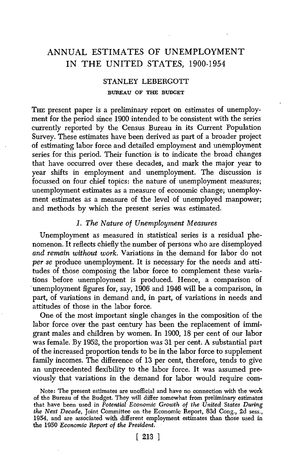# ANNUAL ESTIMATES OF UNEMPLOYMENT IN THE UNITED STATES, 1900-1954

# STANLEY LEBERGOTT BUREAU OF THE BUDGET

THE present paper is a preliminary report on estimates of unemployment for the period since 1900 intended to be consistent with the series currently reported by the. Census Bureau in its Current Population Survey. These estimates have been derived as part of a broader project of estimating labor force and detailed employment and unemployment series for this period. Their function is to indicate the broad changes that have occurred over these decades, and mark the major year to year shifts in employment and unemployment. The discussion is focussed on four chief topics: the nature of unemployment measures; unemployment estimates as a measure of economic change; unemployment estimates as a measure of the level of unemployed manpower; and methods by which the present series was estimated.

### 1. The Nature of Unemployment Measures

Unemployment as measured in statistical series is a residual phenomenon. It reflects chiefly the number of persons who are disemployed and remain without work. Variations in the demand for labor do not per se produce unemployment. It is necessary for the needs and attitudes of those composing the labor force to complement these variations before unemployment is produced. Hence, a comparison of • unemployment figures for, say, 1906 and 1946 will be a comparison, in part, of variations in demand and, in part, of variations in needs and attitudes of those in the labor force.

One of the most important single changes in the composition of the labor force over the past century has been the replacement of immigrant males and children by women. In 1900, 18 per cent of our labor was female. By 1952, the proportion was 31 per cent. A substantial part of the increased proportion tends to be in the labor force to supplement family incomes. The difference of 13 per cent, therefore, tends to give an unprecedented flexibility to the labor force. It was assumed previously that variations in the demand for labor would require corn-

Note: The present estimates are unofficial and have no connection with the work of the Bureau of the Budget. They will differ somewhat from preliminary estimates that have been used in Potential Economic Growth of the United States During the Next Decade, Joint Committee on the Economic Report, 83d Cong., 2d sess., 1954, and are associated with different employment estimates than those used in the 1950 Economic Report of the President.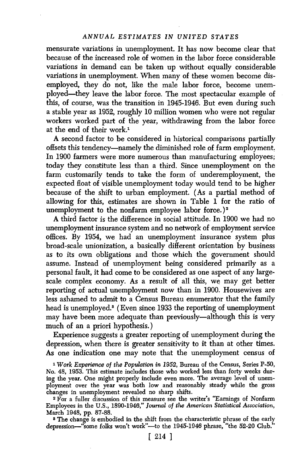mensurate variations in unemployment. It has now become clear that because of the increased role of women in the labor force considerable variations in demand can be taken up without equally considerable variations in unemployment. When many of these women become disemployed, they do not, like the male labor force, become unemployed—they leave the labor force. The most spectacular example of this, of course, was the transition in 1945-1946. But even during such a stable year as 1952, roughly 10 million women who were not regular workers worked part of the year, withdrawing from the labor force at the end of their work.<sup>1</sup>

A second factor to be considered in historical comparisons partially offsets this tendency—namely the diminished role of farm employment. In 1900 farmers were more numerous than manufacturing employees; today they constitute less than a third. Since unemployment on the farm customarily tends to take the form of underemployment, the expected float of visible unemployment today would tend to be higher because of the shift to urban employment. (As a partial method of allowing for this, estimates are shown in Table 1 for the ratio of unemployment to the nonfarm employee labor force.)<sup>2</sup>

A third factor is the difference in social attitude. In 1900 we had no unemployment insurance system and no network of employment service offices. By 1954, we had an unemployment insurance system plus broad-scale unionization, a basically different orientation by business as to its own obligations and those which the government should assume. Instead of unemployment being considered primarily as a personal fault, it had come to be considered as one aspect of any largescale complex economy. As a result of all this, we may get better reporting of actual unemployment now than in 1900. Housewives are less ashamed to admit to a Census Bureau enumerator that the family head is unemployed.3 (Even since 1933 the reporting of unemployment may have been more adequate than previously—although this is very much of an a priori hypothesis.)

Experience suggests a greater reporting of unemployment during the depression, when there is greater sensitivity to it than at other times. As one indication one may note that the unemployment census of

<sup>1</sup> Work Experience of the Population in 1952, Bureau of the Census, Series P-50, No. 48, 1953. This estimate includes those who worked less than forty weeks dur.. ing the year. One might properly include even more. The average level of unemployment over the year was both low and reasonably steady while the gross changes in unemployment revealed no sharp shifts.

<sup>2</sup> For a fuller discussion of this measure see the writer's "Earnings of Nonfarm Employees in the U.S., 1890-1946," Journal of the American Statistical Association, March 1948, pp. 87-88.

<sup>8</sup> The change is embodied in the shift from the characteristic phrase of the early depression—"some folks won't work"—to the 1945-1946 phrase, "the 52-20 Club."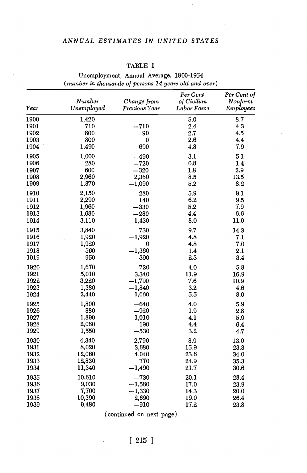### TABLE 1

| Year | Number<br>Unemployed | Change from<br>Previous Year | Per Cent<br>of Civilian<br>Labor Force | Per Cent of<br>Nonfarm<br>Employees |
|------|----------------------|------------------------------|----------------------------------------|-------------------------------------|
| 1900 | 1,420                |                              | 5.0                                    | 8.7                                 |
| 1901 | 710                  | $-710$                       | 2.4                                    | 4.3                                 |
| 1902 | 800                  | 90                           | 2.7                                    | 4.5                                 |
| 1903 | 800                  | 0                            | 2.6                                    | 4.4                                 |
| 1904 | 1,490                | 690                          | 4.8                                    | 7.9                                 |
| 1905 | 1,000                | -490                         | 3.1                                    | 5.1                                 |
| 1906 | 280                  | $-720$                       | 0.8                                    | 1.4                                 |
| 1907 | 600                  | $-320$                       | 1.8                                    | 2.9                                 |
| 1908 | 2,960                | 2,360                        | 8.5                                    | 13.5                                |
| 1909 | 1,870                | $-1,090$                     | 5.2                                    | 8.2                                 |
| 1910 | 2,150                | 280                          | 5.9                                    | 9.1                                 |
| 1911 | 2,290                | 140                          | 6.2                                    | 9.5                                 |
| 1912 | 1,960                | -330                         | 5.2                                    | 7.9                                 |
| 1913 | 1,680                | $-280$                       | 4.4                                    | 6.6                                 |
| 1914 | 3,110                | 1,430                        | 8.0                                    | 11.9                                |
| 1915 | 3,840                | 730                          | 9.7                                    | 14.3                                |
| 1916 | 1,920                | $-1,920$                     | 4.8                                    | 7.1                                 |
| 1917 | 1,920                | $\bf{0}$                     | 4.8                                    | 7.0                                 |
| 1918 | 560                  | $-1,360$                     | 1.4                                    | 2.1                                 |
| 1919 | 950                  | 390                          | 2.3                                    | 3.4                                 |
| 1920 | 1,670                | 720                          | 4.0                                    | 5.8                                 |
| 1921 | 5,010                | 3,340                        | 11.9                                   | 16.9                                |
| 1922 | 3,220                | $-1,790$                     | 7.6                                    | 10.9                                |
| 1923 | 1,380                | $-1,840$                     | 3.2                                    | 4.6                                 |
| 1924 | 2,440                | 1,060                        | 5.5                                    | 8.0                                 |
| 1925 | 1,800                | $-640$                       | 4.0                                    | 5.9                                 |
| 1926 | 880                  | $-920$                       | 1.9                                    | 2.8                                 |
| 1927 | 1,890                | 1,010                        | 4.1                                    | 5.9                                 |
| 1928 | 2,080                | 190                          | 4.4                                    | 6.4                                 |
| 1929 | 1,550                | $-530$                       | 3.2                                    | 4.7                                 |
| 1930 | 4,340                | 2,790                        | 8.9                                    | 13.0                                |
| 1931 | 8,020                | 3,680                        | 15.9                                   | 23.3                                |
| 1932 | 12,060               | 4,040                        | 23.6                                   | 34.0                                |
| 1933 | 12,830               | 770                          | 24.9                                   | 35.3                                |
| 1934 | 11,340               | $-1,490$                     | 21.7                                   | 30.6                                |
| 1935 | 10,610               | $-730$                       | 20.1                                   | 28.4                                |
| 1936 | 9,030                | $-1,580$                     | 17.0                                   | 23.9                                |
| 1937 | 7,700                | -1,330                       | 14.3                                   | 20.0                                |
| 1938 | 10,390               | 2,690                        | 19.0                                   | 26.4                                |
| 1939 | 9,480                | $-910$                       | 17.2                                   | 23.8                                |

### Unemployment, Annual Average, 1900-1954 (number in thousands of persons 14 years old and over)

(continued on next page)

[215]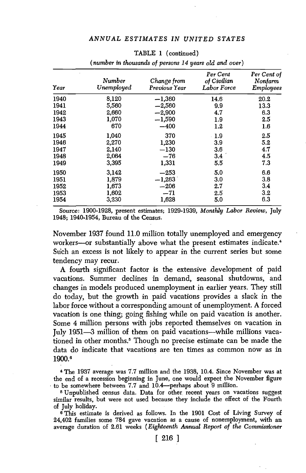#### TABLE 1 (continued)

| Year | Number<br>Unemployed | Change from<br>Previous Year | Per Cent<br>of Civilian<br>Labor Force | Per Cent of<br>Nonfarm<br><b>Employees</b> |
|------|----------------------|------------------------------|----------------------------------------|--------------------------------------------|
| 1940 | 8,120                | $-1,360$                     | 14.6                                   | 20.2                                       |
| 1941 | 5,560                | $-2,560$                     | 9.9                                    | 13.3                                       |
| 1942 | 2,660                | $-2,900$                     | 4.7                                    | 6.3                                        |
| 1943 | 1,070                | $-1,590$                     | 1.9                                    | 2.5                                        |
| 1944 | 670                  | $-400$                       | 1.2                                    | 1.6                                        |
| 1945 | 1,040                | 370                          | 1.9                                    | 2.5                                        |
| 1946 | 2,270                | 1,230                        | 3.9                                    | 5.2                                        |
| 1947 | 2,140                | $-130$                       | 3.6                                    | 4.7                                        |
| 1948 | 2,064                | $-76$                        | 3.4                                    | 4.5                                        |
| 1949 | 3,395                | 1,331                        | 5.5                                    | 7.3                                        |
| 1950 | 3,142                | $-253$                       | 5.0                                    | 6.6                                        |
| 1951 | 1,879                | $-1,263$                     | 3.0                                    | 3.8                                        |
| 1952 | 1,673                | $-206$                       | 2.7                                    | 3.4                                        |
| 1953 | 1,602                | $-71$                        | 2.5                                    | 3.2                                        |
| 1954 | 3,230                | 1,628                        | 5.0                                    | 6.3                                        |

(number in thousands of persons 14 years old and over)

Source: 1900-1928, present estimates; 1929-1939, Monthly Labor Review, July 1948; 1940-1954, Bureau of the Census.

November 1937 found 11.0 million totally unemployed and emergency workers—or substantially above what the present estimates indicate.4 Such an excess is not likely to appear in the current series but some tendency may recur.

A fourth significant factor is the extensive development of paid vacations. Summer declines in demand, seasonal shutdowns, and changes in models produced unemployment in earlier years. They still do today, but the growth in paid vacations provides a slack in the labor force without a corresponding amount of unemployment. A forced vacation is one thing; going fishing while on paid vacation is another. Some 4 million persons with jobs reported themselves on vacation in July 1951—3 million of them on paid vacations—while millions vacationed in other months.<sup>5</sup> Though no precise estimate can be made the data do indicate that vacations are ten times as common now as in 1900.6

The 1937 average was 7.7 million and the 1938, 10.4. Since November was at the end of a recession beginning in June, one would expect the November figure to be somewhere between 7.7 and 10.4—perhaps about 9 million.

Unpublished census data. Data for other, recent years on vacations suggest similar results, but were not used because they include the effect of the Fourth of July holiday.

<sup>6</sup> This estimate is derived as follows. In the 1901 Cost of Living Survey of 24,402 families some 784 gave vacation as a cause of nonemployment, with an average duration of 2.61 weeks (Eighteenth Annual Report of the Commissioner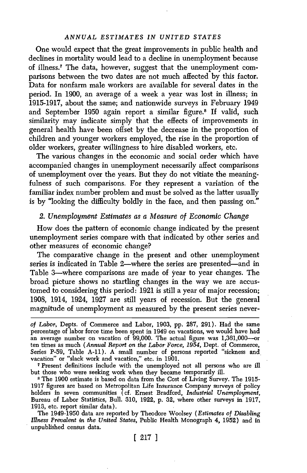One would expect that the great improvements in public health and declines in mortality would lead to a decline in unemployment because of illness.7 The data, however, suggest that the unemployment comparisons between the two dates are not much affected by this factor. Data for nonfarm male workers are available for several dates in the period. In 1900, an average of a week a year was lost in illness; in 1915-1917, about the same; and nationwide surveys in February 1949 and September 1950 again report a similar figure.8 If valid, such similarity may indicate simply that the effects of improvements in general health have been offset by the decrease in the proportion of children and younger workers employed, the rise in the proportion of older workers, greater willingness to hire disabled workers, etc.

The various changes in the economic and social order which have accompanied changes in unemployment necessarily affect comparisons of unemployment over the years. But they do not vitiate the meaningfulness of such comparisons. For they represent a variation of the familiar index number problem and must be solved as the latter usually is by "looking the difficulty boldly in the face, and then passing on."

### 2. Unemployment Estimates as a Measure of Economic Change

How does the pattern of economic change indicated by the present unemployment series compare with that indicated by other series and other measures of economic change?

The comparative change in the present and other unemployment series is indicated in Table 2—where the series are presented—and in Table 3—where comparisons are made of year to year changes. The broad picture shows no startling changes in the way we are accustomed to considering this period: 1921 is still a year of major recession; 1908, 1914, 1924, 1927 are still years of recession. But the general magnitude of unemployment as measured by the present series never-

The 1949-1950 data are reported by Theodore Woolsey (Estimates of Disabling Illness Prevalent in the United States, Public Health Monograph 4, 1952) and in unpublished census data.

of Labor, Depts. of Commerce and Labor, 1903, pp. 287, 291). Had the same percentage of labor force time been spent in 1949 on vacations, we would have had an average number on vacation of  $99,000$ . The actual figure was 1,361,000—or ten times as much (Annual Report on the Labor Force, 1954, Dept. of Commerce, Series P-59, Table A-li). A small number of persons reported "sickness and vacation" or "slack work and vacation," etc. in 1901.

Present definitions include with the unemployed not all persons who are ill but those who were seeking work when they became temporarily ill.

<sup>8</sup> The 1900 estimate is based on data from the Cost of Living Survey. The 1915- 1917 figures are based on Metropolitan Life Insurance Company surveys of policy holders in seven communities (cf. Ernest Bradford, Industrial Unemployment, Bureau of Labor Statistics, Bull. 310, 1922, p. 32, where other surveys in 1917, 1913, etc. report similar data).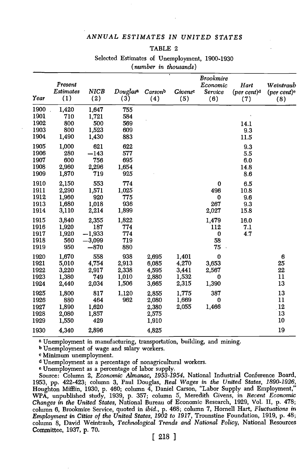#### TABLE 2

| Year                                 | Present<br><b>Estimates</b><br>(1)        | <b>NICB</b><br>(2)                             | Douglas <sup>a</sup><br>(3)             | Carsonb<br>(4)                            | Givensc<br>(5)                            | <b>Brookmire</b><br>Economic<br>Service<br>(6) | Hart<br>$(\textit{per cent})^{\rm d}$<br>(7) | Weintraub<br>$(per cent)$ <sup>e</sup><br>(8) |
|--------------------------------------|-------------------------------------------|------------------------------------------------|-----------------------------------------|-------------------------------------------|-------------------------------------------|------------------------------------------------|----------------------------------------------|-----------------------------------------------|
| 1900<br>1901<br>1902<br>1903<br>1904 | 1,420<br>710<br>800<br>800<br>1,490       | 1,647<br>1,721<br>500<br>1,523<br>1,430        | 755<br>584<br>569<br>609<br>883         |                                           |                                           |                                                | 14.1<br>9.3<br>11.5                          |                                               |
| 1905<br>1906<br>1907<br>1908<br>1909 | 1,000<br>280<br>600<br>2,960<br>1,870     | 621<br>$-143$<br>756<br>2,296<br>719           | 622<br>577<br>695<br>1,654<br>925       |                                           |                                           |                                                | 9.3<br>5.5<br>6.0<br>14.8<br>8.6             |                                               |
| 1910<br>1911<br>1912<br>1913<br>1914 | 2,150<br>2,290<br>1,960<br>1,680<br>3,110 | 553<br>1,571<br>920<br>1,018<br>2,214          | 774<br>1,025<br>775<br>936<br>1,899     |                                           |                                           | 0<br>496<br>0<br>267<br>2,027                  | 6.5<br>10.8<br>9.6<br>9.3<br>15.8            |                                               |
| 1915<br>1916<br>1917<br>1918<br>1919 | 3,840<br>1,920<br>1,920<br>560<br>950     | 2,355<br>187<br>$-1,933$<br>$-3,099$<br>$-870$ | 1,822<br>774<br>774<br>719<br>880       |                                           |                                           | 1,479<br>112<br>0<br>58<br>75                  | 16.0<br>7.1<br>4.7                           |                                               |
| 1920<br>1921<br>1922<br>1923<br>1924 | 1,670<br>5,010<br>3,220<br>1,380<br>2,440 | 558<br>4,754<br>2,917<br>749<br>2,034          | 938<br>2,913<br>2,338<br>1,010<br>1,506 | 2,695<br>6,085<br>4,595<br>2,880<br>3,665 | 1,401<br>4,270<br>3,441<br>1,532<br>2,315 | $\bf{0}$<br>3,653<br>2,567<br>0<br>1,390       |                                              | 6<br>25<br>22<br>11<br>13                     |
| 1925<br>1926<br>1927<br>1928<br>1929 | 1,800<br>880<br>1,890<br>2,080<br>1,550   | 817<br>464<br>1,620<br>1,857<br>429            | 1,120<br>962                            | 2,855<br>2,080<br>2,380<br>2,575<br>1,910 | 1,775<br>1,669<br>2,055                   | 387<br>0<br>1,466                              |                                              | 13<br>11<br>12<br>13<br>10                    |
| 1930                                 | 4,340                                     | 2,896                                          |                                         | 4,825                                     |                                           |                                                |                                              | 19                                            |

### Selected Estimates of Unemployment, 1900-1930 (number in thousands)

a Unemployment in manufacturing, transportation, building, and mining.

b Unemployment of wage and salary workers.

Minimum unemployment.

<sup>d</sup> Unemployment as a percentage of nonagricultural workers.

Unemployment as a percentage of labor supply.

Source: Column 2, Economic Almanac, 1953-1954, National Industrial Conference Board, 1953, pp. 422-423; column 3, Paul Douglas, Real Wages in the United States, 1890-1926, Houghtori Muffin, 1930, p. 460; column 4, Daniel Carson, "Labor Supply and Employment," WPA, unpublished study, 1939, p. 357; column 5, Meredith Civens, in Recent Economic Changes in the United States, National Bureau of Economic Research, 1929, Vol. II, p. 478; column 6, Brookmire Service, quoted in ibid., p. 468; column 7, Hornell Hart, Fluctuations in Employment in Cities of the United States, 1902 to 1917, Trounstine Foundation, 1919, p. 48; column 8, David Weintraub, Technological Trends and National Policy, National Resources Committee, 1937, p. 70.<br>[218]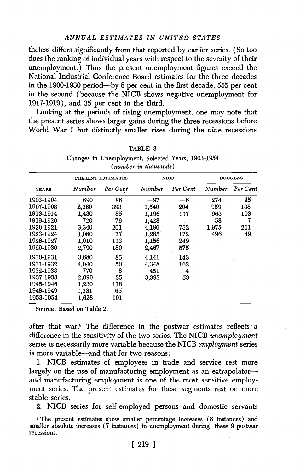theless differs significantly from that reported by earlier series. (So too does the ranking of individual years with respect to the severity of their unemployment.) Thus the present unemployment figures exceed the National Industrial Conference Board estimates for the three decades in the 1900-1930 period—by 8 per cent in the first decade, 555 per cent in the second (because the NICB shows negative unemployment for 1917-1919), and 35 per cent in the third.

Looking at the periods of rising unemployment, one may note that the present series shows larger gains during the three recessions before World War I but distinctly smaller rises during the nine recessions

|              | PRESENT ESTIMATES |          | <b>NICB</b> |                      | <b>DOUGLAS</b> |          |
|--------------|-------------------|----------|-------------|----------------------|----------------|----------|
| <b>YEARS</b> | Number            | Per Cent | Number      | Per Cent             | Number         | Per Cent |
| 1903-1904    | 690               | 86       | $-97$       | -6                   | 274            | 45       |
| 1907-1908    | 2,360             | 393      | 1,540       | 204                  | 959            | 138      |
| 1913-1914    | 1,430             | 85       | 1,196       | 117                  | 963            | 103      |
| 1919-1920    | 720               | 76       | 1,428       | $\ddot{\phantom{0}}$ | 58             | 7        |
| 1920-1921    | 3,340             | 201      | 4,196       | 752                  | 1,975          | 211      |
| 1923-1924    | 1,060             | 77       | 1,285       | 172                  | 496            | 49       |
| 1926-1927    | 1,010             | 113      | 1.156       | 249                  |                |          |
| 1929-1930    | 2,790             | 180      | 2,467       | 575                  |                |          |
| 1930-1931    | 3.680             | 85       | 4.141       | 143                  |                |          |
| 1931-1932    | 4,040             | 50       | 4,348       | 162                  |                |          |
| 1932-1933    | 770               | 6        | 451         | 4                    |                |          |
| 1937-1938    | 2,690             | 35       | 3,393       | 53                   |                |          |
| 1945-1946    | 1,230             | 118      |             |                      |                |          |
| 1948-1949    | 1.331             | 65       |             |                      |                |          |
| 1953-1954    | 1,628             | 101      |             |                      |                |          |

TABLE 3

# Changes in Unemployment, Selected Years, 1903-1954 (number in thousands)

Source: Based on Table 2.

after that war.° The difference in the postwar estimates reflects a difference in the sensitivity of the two series. The NICB unemployment series is necessarily more variable because the NICB employment series is more variable—and that for two reasons:

1. NICB estimates of employees in trade •and service rest more largely on the use of manufacturing employment as an extrapolator and manufacturing employment is one of the most sensitive employment series. The present estimates for these segments rest on more stable series.

2. NICB series for self-employed persons and domestic servants

The present estimates show smaller percentage increases (8 instances) and smaller absolute increases (7 instances) in unemployment during these 9 postwar recessions.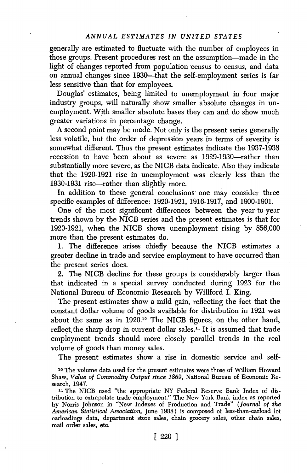generally are estimated to fluctuate with the number of employees in those groups. Present procedures rest on the assumption—made in the light of changes reported from population census to census, and data on annual changes since 1930—that the self-employment series is far less sensitive than that for employees.

Douglas' estimates, being limited to unemployment in four major industry groups, will naturally show smaller absolute changes in unemployment. With smaller absolute bases they can and do show much greater variations in percentage change.

A second point may be made. Not only is the present series generally less volatile, but the order of depression years in terms of severity is somewhat different. Thus the present estimates indicate the 1937-1938 recession to have been about as severe as 1929-1930-rather than substantially more severe, as the NICB data indicate. Also they indicate that the 1920-1921 rise in unemployment was clearly less than the 1930-1931 rise—rather than slightly more.

In addition to these general conclusions one may consider three specific examples of difference: 1920-1921, 1916-1917, and 1900-1901.

One of the most significant differences between the year-to-year trends shown by the NICB series and the present estimates is that for 1920-1921, when the NICB shows unemployment rising by 856,000 more than the present estimates do.

1. The difference arises chiefly because the NICB estimates a greater decline in trade and service employment to have occurred than the present series does.

2. The NICB decline for these groups is considerably larger than that indicated in a special survey conducted during 1923 for the National Bureau of Economic Research by Wiliford I. King.

The present estimates show a mild gain, reflecting the fact that the constant dollar volume of goods available for distribution in 1921 was about the same as in 1920.10 The NICB figures, on the other hand, reflect the sharp drop in current dollar sales.<sup>11</sup> It is assumed that trade employment trends should more closely parallel trends in the real volume of goods than money sales.

The present estimates show a rise in domestic service and self-

10 The volume data used for the present estimates were those of William Howard Shaw, Value of Commodity Output since 1869, National Bureau of Economic Research, 1947.

<sup>11</sup> The NICB used "the appropriate NY Federal Reserve Bank Index of distribution to extrapolate trade employment." The New York Bank index as reported by Norris Johnson in "New Indexes of Production and Trade" (Journal of the American Statistical Association, June 1938) is composed of less-than-carload lot carloadings data, department store sales, chain grocery sales, other chain sales, mail order sales, etc.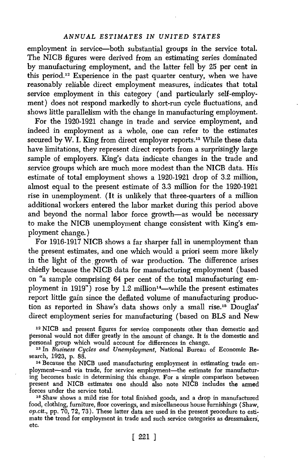employment in service—both substantial groups in the service total. The NICE figures were derived from an estimating series dominated by manufacturing employment, and the latter fell by 25 per cent in this period.12 Experience in the past quarter century, when we have reasonably reliable direct employment measures, indicates that total service employment in this category (and particularly self-employment) does not respond markedly to short-run cycle fluctuations, and shows little parallelism with the change in manufacturing employment.

For the 1920-1921 change in trade and service employment, and indeed in employment as a whole, one can refer to the estimates secured by W. I. King from direct employer reports.<sup>13</sup> While these data have limitations, they represent direct reports from a surprisingly large sample of employers. King's data indicate changes in the trade and service groups which are much more modest than the NICB data. His estimate of total employment shows a 1920-1921 drop of 3.2 million, almost equal to the present estimate of 3.3 million for the 1920-1921 rise in unemployment. (It is unlikely that three-quarters of a million additional workers entered the labor market during this period above and beyond the normal labor force growth—as would be necessary to make the NICB unemployment change consistent with King's employment change.)

For 1916-1917 NICB shows a far sharper fall in unemployment than the present estimates, and one which would a priori seem more likely in the light of the growth of war production. The difference arises chiefly because the NICB data for manufacturing employment (based on "a sample comprising 64 per cent of the total manufacturing employment in 1919") rose by  $1.2 \text{ million}^{14}$ —while the present estimates report little gain since the deflated volume of manufacturing production as reported in Shaw's data shows only a small rise.15 Douglas' direct employment series for manufacturing (based on BLS and New

<sup>12</sup> NICB and present figures for service components other than domestic and personal would not differ greatly in the amount of change. It is the domestic and personal group which would account for differences in change.

<sup>13</sup> In Business Cycles and Unemployment, National Bureau of Economic Research, 1923, p. 88.

14 Because the NICB used manufacturing employment in estimating trade employment—and via trade, for service employment—the estimate for manufacturing becomes basic in determining this change. For a simple comparison between present and NICB estimates one should also note NICB includes the armed forces under the service total.

15 Shaw shows a mild rise for total finished goods, and a drop in manufactured food, clothing, furniture, floor coverings, and miscellaneous house furnishings (Shaw, op.cit., pp. 70, 72, 73). These latter data are used in the present procedure to estimate the trend for employment in trade and such service categories as dressmakers, etc.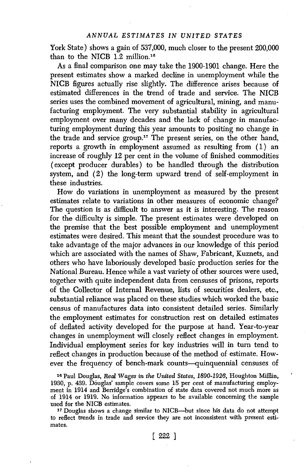York State) shows a gain of 537,000, much closer to the present 200,000 than to the NICB 1.2 million.16

As a final comparison one may take the 1900-1901 change. Here the present estimates show a marked decline in unemployment while the NICB figures actually rise slightly. The difference arises because of estimated differences in the trend of trade and service. The NICB series uses the combined movement of agricultural, mining, and manufacturing employment. The very substantial stability in agricultural employment over many decades and the lack of change in manufacturing employment during this year amounts to positing no change in the trade and service group.17 The present series, on the other hand, reports a growth in employment assumed as resulting from (1) an increase of roughly 12 per cent in the volume of finished commodities (except producer durables) to be handled through the distribution system, and (2) the long-term upward trend of self-employment in these industries.

How do variations in unemployment as measured by the present estimates relate to variations in other measures of economic change? The question is as difficult to answer as it is interesting. The reason for the difficulty is simple. The present estimates were developed on the premise that the best possible employment and unemployment estimates were desired. This meant that the soundest procedure was to take advantage of the major advances in our knowledge of this period which are associated with the names of Shaw, Fabricant, Kuznets, and others who have laboriously developed basic production series for the National Bureau. Hence while a vast variety of other sources were used, together with quite independent data from censuses of prisons, reports of the Collector of Internal Revenue, lists of securities dealers, etc., substantial reliance was placed on these studies which worked the basic census of manufactures data into consistent detailed series. Similarly the employment estimates for construction rest on detailed estimates of deflated activity developed for the purpose at hand. Year-to-year changes in unemployment will closely reflect changes in employment. Individual employment series for key industries will in turn tend to reflect changes in production because of the method of estimate. However the frequency of bench-mark counts—quinquennial censuses of

16 Paul Douglas, Real Wages in the United States, 1890-1926, Houghton Mifflin, 1930, p. 439. Douglas' sample covers some 15 per cent of manufacturing employment in 1914 and Berridge's combination of state data covered not much more as of 1914 or 1919. No information appears to be available concerning the sample used for the NICB estimates.

<sup>17</sup> Douglas shows a change similar to NICB—but since his data do not attempt to reflect trends in trade and service they are not inconsistent with present estimates.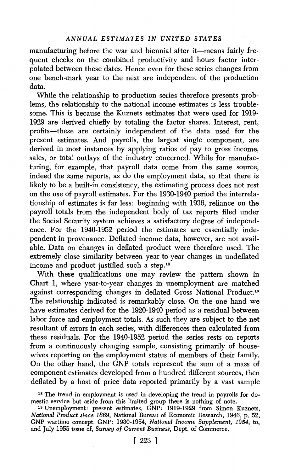manufacturing before the war and biennial after it—means fairly frequent checks on the combined productivity and hours factor interpolated between these dates. Hence even for these series changes from one bench-mark year to the next are independent of the production data.

While the relationship to production series therefore presents problems, the relationship to the national income estimates is less troublesome. This is because the Kuznets estimates that were used for 1919- 1929 are derived chiefly by totaling the factor shares. Interest, rent, profits—these are certainly independent of the data used for the present estimates. And payrolls, the largest single component, are derived in most instances by applying ratios of pay to gross income, sales, or total outlays of the industry concerned. While for manufacturing, for example, that payroll data come from the same source, indeed the same reports, as do the employment data, so that there is likely to be a built-in consistency, the estimating process does not rest on the use of payroll estimates. For the 1930-1940 period the interrelationship of estimates is far less: beginning with 1936, reliance on the payroll totals from the independent body of tax reports filed under the Social Security system achieves a satisfactory degree of independence. For the 1940-1952 period the estimates are essentially independent in provenance. Deflated income data, however, are not available. Data on changes in deflated product were therefore used. The extremely close similarity between year-to-year changes in undeflated income and product justified such a step.'8

With these qualifications one may review the pattern shown in Chart 1, where year-to-year changes in unemployment are matched against corresponding changes in deflated Gross National Product.'9 The relationship indicated is remarkably close. On the one hand we have estimates derived for the 1920-1940 period as a residual between labor force and employment totals. As such they are subject to the net resultant of errors in each series, with differences then calculated from these residuals. For the 1940-1952 period the series rests on reports from a continuously changing sample, consisting primarily of housewives reporting on the employment status of members of their family. On the other hand, the GNP totals represent the sum of a mass of component estimates developed from a hundred different sources, then deflated by a host of price data reported primarily by a vast sample

<sup>18</sup> The trend in employment is used in developing the trend in payrolls for domestic service but aside from this limited group there is nothing of note.

Unemployment: present estimates. GNP: 1919-1929 from Simon Kuznets, National Product since 1869, National Bureau of Economic Research, 1946, p. 52, GNP wartime concept. GNP: 1930-1954, National Income Supplement, 1954, to, and July 1955 issue of, Survey of Current Business, Dept. of Commerce.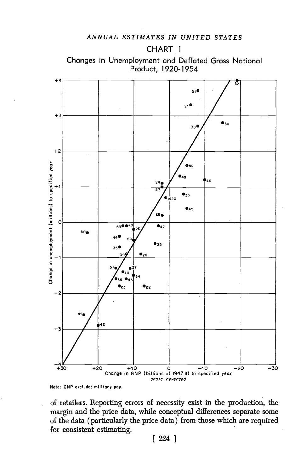## CHART <sup>1</sup>







of retailers. Reporting errors of necessity exist in the production, the margin and the price data, while conceptual differences separate some of the data (particularly the price data) from those which are required for consistent estimating.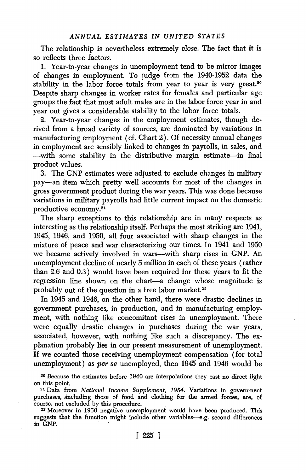The relationship is nevertheless extremely close. The fact that it is so reflects three factors.

1. Year-to-year changes in unemployment tend to be mirror images of changes in employment. To judge from the 1940-1952 data the stability in the labor force totals from year to year is very great.<sup>20</sup> Despite sharp changes in worker rates for females and particular age groups the fact that most adult males are in the labor force year in and year out gives a considerable stability to the labor force totals.

2. Year-to-year changes in the employment estimates, though derived from a broad variety of sources, are dominated by variations in manufacturing employment (cf. Chart 2). Of necessity annual changes in employment are sensibly linked to changes in payrolls, in sales, and —with some stability in the distributive margin estimate—in final product values.

3. The GNP estimates were adjusted to exclude changes in military pay—an item which pretty well accounts for most of the changes in gross government product during the war years. This was done because variations in military payrolls had little current impact on the domestic productive economy.21

The sharp exceptions to this relationship are in many respects as interesting as the relationship itself. Perhaps the most striking are 1941, 1945, 1946, and 1950, all four associated with sharp changes in the mixture of peace and war characterizing our times. In 1941 and 1950 we became actively involved in wars—with sharp rises in GNP. An unemployment decline of nearly 5 million in each of these years (rather than 2.6 and 0.3) would have been required for these years to fit the regression line shown on the chart—a change whose magnitude is probably out of the question in a free labor market.<sup>22</sup>

In 1945 and 1946, on the other hand, there were drastic declines in government purchases, in production, and in manufacturing employ. ment, with nothing like concomitant rises in unemployment. There were equally drastic changes in purchases during the war years, associated, however, with nothing like such a discrepancy. The explanation probably lies in our present measurement of unemployment. If we counted those receiving unemployment compensation (for total unemployment) as per se unemployed, then 1945 and 1946 would be

<sup>20</sup> Because the estimates before 1940 are interpolations they cast no direct light on this point.

<sup>21</sup> Data from National Income Supplement, 1954. Variations in government purchases, including those of food and clothing for the armed forces, are, of course, not excluded by this procedure.

<sup>22</sup> Moreover in 1950 negative unemployment would have been produced. This suggests that the function might include other variables—e.g. second differences in GNP.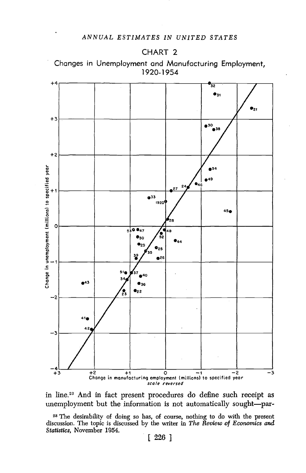# CHART 2





in line.<sup>23</sup> And in fact present procedures do define such receipt as unemployment but the information is not automatically sought—par-

<sup>28</sup> The desirability of doing so has, of course, nothing to do with the present discussion. The topic is discussed by the writer in The Review of Economics and Statistics, November 1954.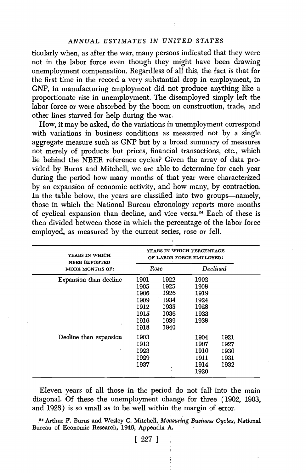ticularly when, as after the war, many persons indicated that they were not in the labor force even though they might have been drawing unemployment compensation. Regardless of all this, the fact is that for the first time in the record a very substantial drop in employment, in GNP, in manufacturing employment did not produce anything like a proportionate rise in unemployment. The disemployed simply left the labor force or were absorbed by the boom on construction, trade, and other lines starved for help during the war.

How, it may be asked, do the variations in unemployment correspond with variations in business conditions as measured not by a single aggregate measure such as GNP but by a broad summary of measures not merely of products but prices, financial transactions, etc., which lie behind the NBER reference cycles? Given the array of data provided by Burns and Mitchell, we are able to determine for each year during the period how many months of that year were characterized by an expansion of economic activity, and how many, by contraction. In the table below, the years are classified into two groups—namely, those in which the National Bureau chronology reports more months of cyclical expansion than decline, and vice versa.<sup>24</sup> Each of these is then divided between those in which the percentage of the labor force employed, as measured by the current series, rose or fell.

| YEARS IN WHICH<br><b>NBER REPORTED</b> | YEARS IN WHICH PERCENTAGE<br>OF LABOR FORCE EMPLOYED:        |                                                              |                                                      |                                      |  |
|----------------------------------------|--------------------------------------------------------------|--------------------------------------------------------------|------------------------------------------------------|--------------------------------------|--|
| MORE MONTHS OF:                        |                                                              | Rose                                                         |                                                      | Declined                             |  |
| Expansion than decline                 | 1901<br>1905<br>1906<br>1909<br>1912<br>1915<br>1916<br>1918 | 1922<br>1925<br>1926<br>1934<br>1935<br>1936<br>1939<br>1940 | 1902<br>1908<br>1919<br>1924<br>1928<br>1933<br>1938 |                                      |  |
| Decline than expansion                 | 1903<br>1913<br>1923<br>1929<br>1937                         |                                                              | 1904<br>1907<br>1910<br>1911<br>1914<br>1920         | 1921<br>1927<br>1930<br>1931<br>1932 |  |

Eleven years of all those in the period do not fall into the main diagonal. Of these the unemployment change for three (1902, 1903, and 1928) is so small as to be well within the margin of error.

<sup>24</sup> Arthur F. Burns and Wesley C. Mitchell, Measuring Business Cycles, National Bureau of Economic Research, 1946, Appendix A.

### [227}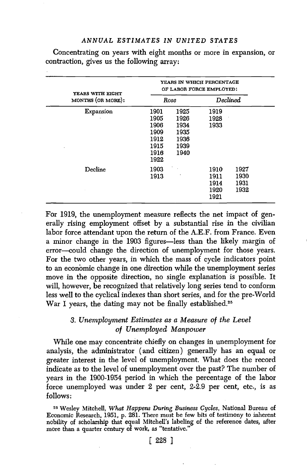| YEARS WITH EIGHT<br>MONTHS (OR MORE): |      | YEARS IN WHICH PERCENTAGE<br>OF LABOR FORCE EMPLOYED: |          |  |  |  |
|---------------------------------------|------|-------------------------------------------------------|----------|--|--|--|
|                                       |      | Rose                                                  | Declined |  |  |  |
| Expansion                             | 1901 | 1925                                                  | 1919     |  |  |  |
|                                       | 1905 | 1926                                                  | 1928     |  |  |  |
|                                       | 1906 | 1934                                                  | 1933     |  |  |  |
|                                       | 1909 | 1935                                                  |          |  |  |  |
|                                       | 1912 | 1936                                                  |          |  |  |  |
|                                       | 1915 | 1939                                                  |          |  |  |  |
|                                       | 1916 | 1940                                                  |          |  |  |  |
|                                       | 1922 |                                                       |          |  |  |  |

Decline 1903 1910 1927

1913 1911 1930

1921

1914 1931 1920 1932

Concentrating on years with eight months or more in expansion, or contraction, gives us the following array:

For 1919, the unemployment measure reflects the net impact of generally rising employment offset by a substantial rise in the civilian labor force attendant upon the return of the A.E.F. from France. Even a minor change in the 1903 figures—less than the likely margin of error—could change the direction of unemployment for those years. For the two other years, in which the mass of cycle indicators point to an economic change in one direction while the unemployment series move in the opposite direction, no single explanation is possible. It will, however, be recognized that relatively long series tend to conform less well to the cyclical indexes than short series, and for the pre-World War I years, the dating may not be finally established.<sup>25</sup>

## 3. Unemployment Estimates as a Measure of the Level of Unemployed Manpower

While one may concentrate chiefly on changes in unemployment for analysis, the administrator (and citizen) generally has an equal or greater interest in the level of unemployment. What does the record indicate as to the level of unemployment over the past? The number of years in the 1900-1954 period in which the percentage of the labor force unemployed was under 2 per cent, 2-2.9 per cent, etc., is as follows:

<sup>25</sup> Wesley Mitchell, What Happens During Business Cycles, National Bureau of Economic Research, 1951, p. 281. There must be few bits of testimony to inherent nobility of scholarship that equal Mitchell's labeling of the reference dates, after more than a quarter century of work, as "tentative."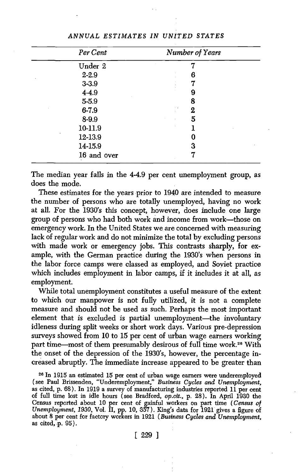| Per Cent    | Number of Years    |
|-------------|--------------------|
| Under 2     | 7                  |
| $2 - 2.9$   | 6                  |
| $3 - 3.9$   | 7                  |
| $4 - 4.9$   | 9                  |
| $5 - 5.9$   | 8                  |
| $6-7.9$     | $\sim$ $\sim$<br>2 |
| 8-9.9       | 5                  |
| 10-11.9     |                    |
| 12-13.9     | 0                  |
| 14-15.9     | 3                  |
| 16 and over |                    |

The median year falls in the 4-4.9 per cent unemployment group, as does the mode.

These estimates for the years prior to 1940 are intended to measure the number of persons who are totally unemployed, having no work at all. For the 1930's this concept, however, does include one large group of persons who had both work and income from work—those on emergency work. In the United States we are concerned with measuring lack of regular work and do not minimize the total by excluding persons with made work or emergency jobs. This contrasts sharply, for example, with the German practice during the 1930's when persons in the labor force camps were classed as employed, and Soviet practice which includes employment in labor camps, if it includes it at all, as employment.

While total unemployment constitutes a useful measure of the extent to which our manpower is not fully utilized, it is not a complete measure and should not be used as such. Perhaps the most important element that is excluded is partial unemployment—the involuntary idleness during split weeks or short work days. Various pre-depression surveys showed from 10 to 15 per cent of urban wage earners working part time—most of them presumably desirous of full time work.26 With the onset of the depression of the 1930's, however, the percentage increased abruptly. The immediate increase appeared to be greater than

<sup>26</sup> In 1915 an estimated 15 per cent of urban wage earners were underemployed (see Paul Brissenden, "Underemployment," Business Cycles and Unemployment, as cited, p. 68). In 1919 a survey of manufacturing industries reported 11 per cent of full time lost in idle hours (see Bradford, op.cit., p. 28). In April 1930 the Census reported about 10 per cent of gainful workers on part time (Census of Unemployment, 1930, Vol. II, pp. 10, 357), King's data for 1921 gives a figure of about 8 per cent for factory workers in 1921 (Business Cycles and Unemployment, as cited, p. 95).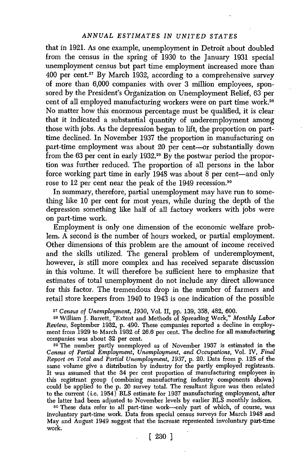that in 1921. As one example, unemployment in Detroit about doubled from the census in the spring of 1930 to the January 1931 special unemployment census but part time employment increased more than 400 per cent.27 By March 1932, according to a comprehensive survey of more than 6,000 companies with over 3 million employees, sponsored by the President's Organization on Unemployment Relief, 63 per cent of all employed manufacturing workers were on part time work.28 No matter how this enormous percentage must be qualified, it is clear that it indicated a substantial quantity of underemployment among those with jobs. As the depression began to lift, the proportion on parttime declined. In November 1937 the proportion in manufacturing on part-time employment was about 20 per cent—or substantially down from the 63 per cent in early 1932.<sup>29</sup> By the postwar period the proportion was further reduced. The proportion of all persons in the labor force working part time in early 1948 was about  $\overline{8}$  per cent—and only rose to 12 per cent near the peak of the 1949 recession.3°

In summary, therefore, partial unemployment may have run to something like 10 per cent for most years, while during the depth of the depression something like half of all factory workers with jobs were on part-time work.

Employment is only one dimension of the economic welfare problem. A second is the number of hours worked, or partial employment. Other dimensions of this problem are the amount of income received and the skills utilized. The general problem of underemployment, however, is still more complex and has received separate discussion in this volume. It will therefore be sufficient here to emphasize that estimates of total unemployment do not include any direct allowance for this factor. The tremendous drop in the number of farmers and retail store keepers from 1940 to 1943 is one indication of the possible

27 Census of Unemployment, 1930, Vol. II, pp. 139, 358, 482, 600.

<sup>28</sup> William J. Barrett, "Extent and Methods of Spreading Work," Monthly Labor Review, September 1932, p. 490. These companies reported a decline in employment from 1929 to March 1932 of 26.6 per cent. The decline for all manufacturing companies was about 32 per cent.

<sup>29</sup> The number partly unemployed as of November 1937 is estimated in the Census of Partial Employment, Unemployment, and Occupations, Vol. IV, Final Report on Total and Partial Unemployment, 1937, p. 20. Data from p. 125 of the same volume give a distribution by industry for the partly employed registrants. It was assumed that the 34 per cent proportion of manufacturing employees in this registrant group (combining manufacturing industry components shown) could be applied to the p. 20 survey total. The resultant figure was then related to the current (i.e. 1954) BLS estimate for 1937 manufacturing employment, after the latter had been adjusted to November levels by earlier BLS monthly indices.

These data refer to all part-time work—only part of which, of course, was involuntary part-time. work. Data from special census surveys for March 1948 and May and August 1949 suggest that the increase represented involuntary part-time work.

<sup>[230]</sup>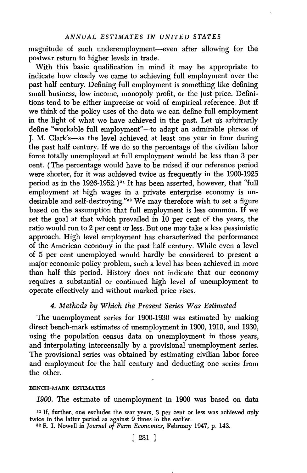magnitude of such underemployment—even after allowing for the postwar return to higher levels in trade.

With this basic qualification in mind it may be appropriate to indicate how closely we came to achieving full employment over the past half century. Defining full employment is something like defining small business, low income, monopoly profit, or the just price. Definitions tend to be either imprecise or void of empirical reference. But if we think of the policy uses of the data we can define full employment in the light of what we have achieved in the past. Let us arbitrarily define "workable full employment"—to adapt an admirable phrase of J. M. Clark's—as the level achieved at least one year in four during the past half century. If we do so the percentage of the civilian labor force totally unemployed at full employment would be less than 3 per cent. (The percentage would have to be raised if our reference period were shorter, for it was achieved twice as frequently in the 1900-1925 period as in the 1926-1952.)<sup>31</sup> It has been asserted, however, that "full employment at high wages in a private enterprise economy is undesirable and self-destroying."32 We may therefore wish to set a figure based on the assumption that full employment is less common. If we set the goal at that which prevailed in 10 per cent of the years, the ratio would run to 2 per cent or less. But one may take a less pessimistic approach. High level employment has characterized the performance of the American economy in the past half century. While even a level of 5 per cent unemployed would hardly be considered to present a major economic policy problem, such a level has been achieved in more than half this period. History does not indicate that our economy requires a substantial or continued high level of unemployment to operate effectively and without marked price rises.

### 4. Methods by Which the Present Series Was Estimated

The unemployment series for 1900-1930 was estimated by making direct bench-mark estimates of unemployment in 1900, 1910, and 1930, using the population census data on unemployment in those years, and interpolating intercensally by a provisional unemployment series. The provisional series was obtained by estimating civilian labor force and employment for the half century and deducting one series from the other.

#### BENCH-MARK ESTIMATES

1900. The estimate of unemployment in 1900 was based on data

81 If, further, one excludes the war years, 3 per cent or less was achieved only twice in the latter period as against 9 times in the earlier.

32 R. I. Nowell in Journal of Farm Economics, February 1947, p. 143.

## [231]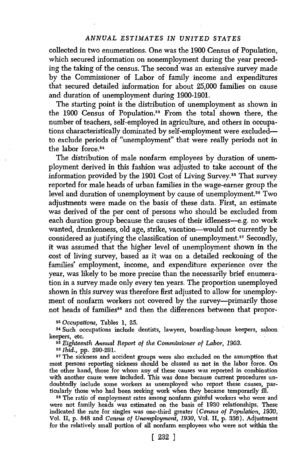collected in two enumerations. One was the 1900 Census of Population, which secured information on nonemployment during the year preceding the taking of the census. The second was an extensive survey made by the Commissioner of Labor of family income and expenditures that secured detailed information for about 25,000 families on cause and duration of unemployment during 1900-1901.

The starting point is the distribution of unemployment as shown in the 1900 Census of Population.83 From the total shown there, the number of teachers, self-employed in agriculture, and others in occupations characteristically dominated by self-employment were excluded to exclude periods of "unemployment" that were really periods not in the labor force.<sup>34</sup>

The distribution of male nonfarm employees by duration of unemployment derived in this fashion was adjusted to take account of the information provided by the 1901 Cost of Living Survey.35 That survey reported for male heads of urban families in the wage-earner group the level and duration of unemployment by cause of unemployment.36 Two adjustments were made on the basis of these data. First, an estimate was derived of the per cent of persons who should be excluded from each duration group because the causes of their idleness—e.g. no work wanted, drunkenness, old age, strike, vacation—would not currently be considered as justifying the classification of unemployment.<sup>87</sup> Secondly, it was assumed that the higher level of unemployment shown in the cost of living survey, based as it was on a detailed reckoning of the families' employment, income, and expenditure experience over the year, was likely to be more precise than the necessarily brief enumeration in a survey made only every ten years. The proportion unemployed shown in this survey was therefore first adjusted to allow for unemployment of nonfarm workers not covered by the survey—primarily those not heads of families<sup>38</sup> and then the differences between that propor-

33 Occupations, Tables 1, 25.

34 Such occupations include dentists, lawyers, boarding-house keepers, saloon keepers, etc.

<sup>86</sup> Eighteenth Annual Report of the Commissioner of Labor, 1903.

<sup>36</sup> Ibid., pp. 290-291.

<sup>87</sup> The sickness and accident groups were also excluded on the assumption that most persons reporting sickness should be classed as not in the labor force. On the other hand, those for whom any of these causes was reported in combination with another cause were included. This was done because current procedures undoubtedly include some workers as unemployed who report these causes, particularly those who had been seeking work when they became temporarily ill.

88 The ratio of employment rates among nonfarm gainful workers who were and were not family heads was estimated on the basis of 1930 relationships. These indicated the rate for singles was one-third greater (Census of Population, 1930, Vol. II, P. 848 and Census of Unemployment, 1930, Vol. II, p. 338). Adjustment for the relatively small portion of all nonfarm employees who were not within the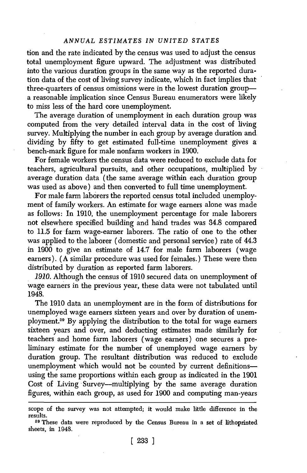tion and the rate indicated by the census was used to adjust the census total unemployment figure upward. The adjustment was distributed into the various duration groups in the same way as the reported duration data of the cost of living survey indicate, which in fact implies that three-quarters of census omissions were in the lowest duration group a reasonable implication since Census Bureau enumerators were likely to miss less of the hard core unemployment.

The average duration of unemployment in each duration group was computed from the very detailed interval data in the cost of living survey. Multiplying the number in each group by average duration and. dividing by fifty to get estimated full-time unemployment gives a' bench-mark figure for male nonfarm workers in 1900.

For female workers the census data were reduced to exclude data for teachers, agricultural pursuits, and other occupations, multiplied by average duration data (the same average within each duration group was used as above) and then converted to full time unemployment.

For male farm laborers the reported census total included unemployment of family workers. An estimate for wage earners alone was made as follows: In 1910, the unemployment percentage for male laborers not elsewhere specified building and hand trades was 84.8 compared to 11.5 for farm wage-earner laborers. The ratio of one to the other was applied to the laborer (domestic and personal service) rate of 44.3 in 1900 to give an estimate of 14.7 for male farm laborers (wage earners). (A similar procedure was used for females.) These were then distributed by duration as reported farm laborers.

1910. Although the census of 1910 secured data on unemployment of wage earners in the previous year, these data were not tabulated until 1948.

The 1910 data an unemployment are in the form of distributions for unemployed wage earners sixteen years and over by duration of unemployment.<sup>39</sup> By applying the distribution to the total for wage earners sixteen years and over, and deducting estimates made similarly for teachers and home farm laborers (wage earners) one secures a preliminary estimate for the number of unemployed wage earners by duration group. The resultant distribution was reduced to exclude unemployment which would not be counted by current definitions using the same proportions within each group as indicated in the 1901 Cost of Living 'Survey—multiplying by the same average duration figures, within each group, as used for 1900 and computing man-years

scope of the survey was not attempted; it would make little difference in the results.

<sup>89</sup> These data were reproduced by the Census Bureau in a set of lithoprinted sheets, in 1948.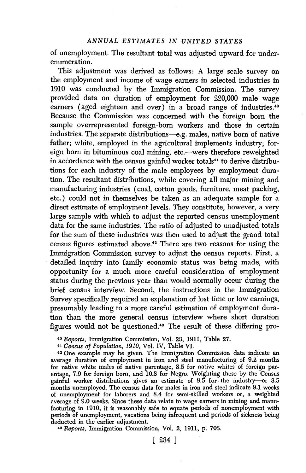of unemployment. The resultant total was adjusted upward for underenumeration.

This adjustment was derived as follows: A large scale survey on the employment and income of wage earners in selected industries in 1910 was conducted by the Immigration Commission. The survey provided data on duration of employment for 220,000 male wage earners (aged eighteen and over) in a broad range of industries.<sup>40</sup> Because the Commission was concerned with the foreign born the sample overrepresented foreign-born workers and those in certain industries. The separate distributions—e.g. males, native born of native father; white, employed in the agricultural implements industry; foreign born in bituminous coal mining, etc.—were therefore reweighted in accordance with the census gainful worker totals<sup>41</sup> to derive distributions for each industry of the male employees by employment duration. The resultant distributions, while covering all major mining and manufacturing industries (coal, cotton goods, furniture, meat packing, etc.) could not in themselves be taken as an adequate sample for a direct estimate of employment levels. They constitute, however, a very large sample with which to adjust the reported census unemployment data for the same industries. The ratio of adjusted to unadjusted totals for the sum of these industries was then used to adjust the grand total census figures estimated above.<sup>42</sup> There are two reasons for using the Immigration Commission survey to adjust the census reports. First, a detailed inquiry into family economic status was being made, with opportunity for a much more careful consideration of employment status during the previous year than would normally occur during the brief census interview. Second, the instructions in the Immigration Survey specifically required an explanation of lost time or low earnings, presumably leading to a more careful estimation of employment duration than the more general census interview where short duration figures would not be questioned.<sup>48</sup> The result of these differing pro-

4° Reports, Immigration Commission, Vol. 23, 1911, Table 27.

41 Census of Population, 1910, Vol. IV, Table VI.

42 One example may be given. The Immigration Commission data indicate an average duration of employment in iron and steel manufacturing of 9.2 months for native white males of native parentage, 8.5 for native whites of foreign parentage, 7.9 for foreign born, and 10.8 for Negro. Weighting these by the Census gainful worker distributions gives an estimate of 8.5 for. the industry—or 3.5 months unemployed. The census data for males in iron and steel indicate 9.1 weeks of unemployment for laborers and 8.4 for semi-skilled workers or, a weighted average of 9.0 weeks. Since these data relate to wage earners in mining and manufacturing in 1910, it is reasonably safe to equate periods of nonemployment with periods of unemployment, vacations being infrequent and periods of sickness being deducted in the earlier adjustment.

48 Reports, Immigration Commission, Vol. 2, 1911, p. 703.

[234]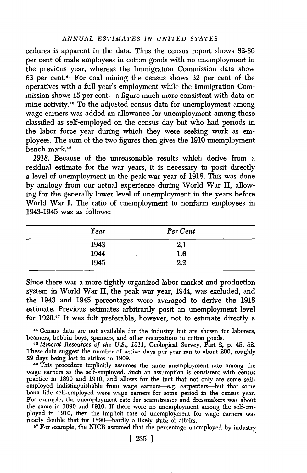cedures is apparent in the data. Thus the census report shows 82-86 per cent of male employees in cotton goods with no unemployment in the previous year, whereas the Immigration Commission data show  $63$  per cent.<sup>44</sup> For coal mining the census shows  $32$  per cent of the operatives with a full year's employment while the Immigration Commission shows 15 per cent—a figure much more consistent with data on mine activity.<sup>45</sup> To the adjusted census data for unemployment among wage earners was added an allowance for unemployment among those classified as self-employed on the census day but who had periods in the labor force year during which they were seeking work as employees. The sum of the two figures then gives the 1910 unemployment bench mark.46

1918. Because of the unreasonable results which derive from a residual estimate for the war years, it is necessary to posit directly a level of unemployment in the peak war year of 1918. This was done by analogy from our actual experience during World War II, allowing for the generally lower level of unemployment in the years before World War I. The ratio of unemployment to nonfarm employees in 1943-1945 was as follows:

| Year | Per Cent          |  |
|------|-------------------|--|
| 1943 | 2.1               |  |
| 1944 |                   |  |
| 1945 | $\frac{1.6}{2.2}$ |  |

Since there was a more tightly organized labor market and production system in World War II, the peak war year, 1944, was excluded, and the 1943 and 1945 percentages were averaged to derive the 1918 estimate. Previous estimates arbitrarily posit an unemployment level for 1920.<sup>47</sup> It was felt preferable, however, not to estimate directly a

<sup>44</sup> Census data are not available for the industry but are shown for laborers, beamers, bobbin boys, spinners, and other occupations in cotton goods.

Mineral Resources of the U.S., 1911, Geological Survey, Part 2, p. 45, 52. These data suggest the number of active days per year ran to about 200, roughly 29 days being lost in strikes in 1909.

46 This procedure implicitly assumes the same unemployment rate among the wage earners as the self-employed. Such an assumption is consistent with census practice in 1890 and 1910, and allows for the fact that not only are some selfemployed indistinguishable from wage earners—e.g. carpenters—but that some bona fide self-employed were wage earners for some period in the census year. For example, the unemployment rate for seamstresses and dressmakers was about the same in 1890 and 1910. If there were no unemployment among the self-employed in 1910, then the implicit rate of unemployment for wage earners was nearly double that for 1890—hardly a likely state of affairs.

For example, the NICB assumed that the percentage unemployed by industry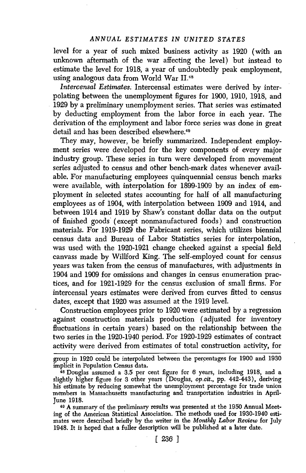level for a year of such mixed business activity as 1920 (with an unknown aftermath of the war affecting the level) but instead to estimate the level for 1918, a year of undoubtedly peak employment, using analogous data from World War II.<sup>48</sup>

Intercensal Estimates. Intercensal estimates were derived by interpolating between the unemployment figures for 1900, 1910, 1918, and 1929 by a preliminary unemployment series. That series was estimated by deducting employment from the labor force in each year. The derivation of the employment and labor force series was done in great detail and has been described

They may, however, be briefly summarized. Independent employment series were developed for the key components of every major industry group. These series in turn were developed from movement series adjusted to census and other bench-mark dates whenever available. For manufacturing employees quinquennial census bench marks were available, with interpolation for 1899-1909 by an index of employment in selected states accounting for half of all manufacturing employees as of 1904, with interpolation between 1909 and 1914, and between 1914 and 1919 by Shaw's constant dollar data on the output of finished goods (except nonmanufactured foods) and construction materials. For 1919-1929 the Fabricant series, which utilizes biennial census data and Bureau of Labor Statistics series for interpolation, was used with the 1920-1921 change checked against a special field canvass made by Willford King. The self-employed count for census years was taken from the census of manufactures, with adjustments in 1904 and 1909 for omissions and changes in census enumeration practices, and for 1921-1929 for the census exclusion of small firms. For intercensal years estimates were derived from curves fitted to census dates, except that 1920 was assumed at the 1919 level.

Construction employees prior to 1920 were estimated by a regression against construction materials production (adjusted for inventory fluctuations in certain years) based on the relationship between the two series in the 1920-1940 period. For 1920-1929 estimates of contract activity were derived from estimates of total construction activity, for

group in 1920 could be interpolated between the percentages for 1900 and 1930 implicit in Population Census data.

<sup>48</sup> Douglas assumed a 8.5 per cent figure for 6 years, including 1918, and a slightly higher figure for 3 other years (Douglas, op.cit., pp. 442-443), deriving his estimate by reducing somewhat the unemployment percentage for trade union members in Massachusetts manufacturing and transportation industries in April-June 1918.

A summary of the preliminary results was presented at the 1950 Annual Meeting of the American Statistical Association. The methods used for 1930-1940 estimates were described briefly by the writer in the Monthly Labor Review for July 1948. It is hoped that a fuller description will be published at a later date.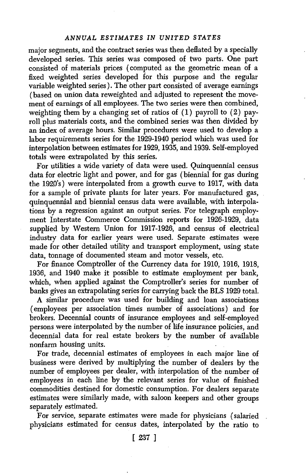major segments, and the contract series was then deflated by a specially developed series. This series was composed of two parts. One part consisted of materials prices (computed as the geometric mean of a fixed weighted series developed for this purpose and the regular variable weighted series). The other part consisted of average earnings (based on union data reweighted and adjusted to represent the movement of earnings of all employees. The two series were then combined, weighting them by a changing set of ratios of (1) payroll to (2) payroll plus materials costs, and the combined series was then divided by an index of average hours. Similar procedures were used to develop a labor requirements series for the 1929-1940 period which was used for interpolation between estimates for 1929, 1935, and 1939. Self-employed totals were extrapolated by this series.

For utilities a wide variety of data were used. Quinquennial census data for electric light and power, and for gas (biennial for gas during the 1920's) were interpolated from a growth curve to 1917, with data for a sample of private plants for later years. For manufactured gas, quinquennial and biennial census data were available, with interpolations by a regression against an output series. For telegraph employment Interstate Commerce Commission reports for 1926-1929, data supplied by Western Union for 1917-1926, and census of electrical industry data for earlier years were used. Separate estimates were made for other detailed utility and transport employment, using state data, tonnage of documented steam and motor vessels, etc.

For finance Comptroller of the Currency data for 1910, 1916, 1918, 1936, and 1940 make it possible to estimate employment per bank, which, when applied against the Comptroller's series for number of banks gives an extrapolating series for carrying back the BLS 1929 total.

A similar procedure was used for building and loan associations (employees per association times number of associations) and for brokers. Decennial counts of insurance employees and self-employed persons were interpolated by the number of life insurance policies, and decennial data for real estate brokers by the number of available nonfarm housing units.

For trade, decennial estimates of employees in each major line of business were derived by multiplying the number of dealers by the number of employees per dealer, with interpolation of the number of employees in each line by the relevant series for value of finished commodities destined for domestic consumption. For dealers separate estimates were similarly made, with saloon keepers and other groups separately estimated.

For service, separate estimates were made for physicians (salaried physicians estimated for census dates, interpolated by the ratio to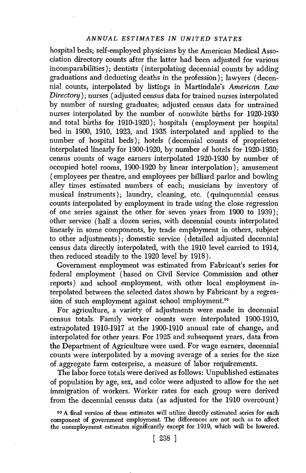hospital beds; self-employed physicians by the American Medical Association directory counts after the latter had been adjusted for various incomparabilities); dentists (interpolating decennial counts by adding graduations and deducting deaths in the profession); lawyers (decennial counts, interpolated by listings in Martindale's American Law Directory); nurses (adjusted census data for trained nurses interpolated by number of nursing graduates; adjusted census data for untrained nurses interpolated by the number of nonwhite births for 1920-1930 and total births for 1910-1920); hospitals (employment per hospital bed in 1900, 1910, 1923, and 1935 interpolated and applied to the number of hospital beds); hotels (decennial counts of proprietors interpolated linearly for 1900-1920, by number of hotels for 1920-1930; census counts of wage earners interpolated 1920-1930 by number of occupied hotel rooms, 1900-1920 by linear interpolation); amusement (employees per theatre, and employees per billiard parlor and bowling alley times estimated numbers of each; musicians by inventory of musical instruments); laundry, cleaning, etc. (quinquennial census counts interpolated by employment in trade using the close regression of one series against the other for seven years from 1900 to 1939); other service (half a dozen series, with decennial counts interpolated linearly in some components, by trade employment in others, subject to other adjustments); domestic service (detailed adjusted decennial census data directly interpolated, with the 1910 level carried to 1914, then reduced steadily to the 1920 level by 1918).

Government employment was estimated from Fabricant's series for federal employment (based on Civil Service Commission and other reports) and school employment, with other local employment interpolated between the selected dates shown by Fabricant by a regression of such employment against school employment.<sup>50</sup>

For agriculture, a variety of adjustments were made in decennial census totals. Family worker counts were interpolated 1900-1910, extrapolated 1910-1917 at the 1900-1910 annual rate of change, and interpolated for other years. For 1925 and subsequent years, data from the Department of Agriculture were used. For wage earners, decennial counts were interpolated by a moving average of a series for the size of aggregate farm enterprise, a measure of labor requirements.

The labor force totals were derived as follows: Unpublished estimates of population by age, sex, and color were adjusted to allow for the net immigration of workers. Worker rates for each group were derived from the decennial census data (as adjusted for the 1910 overcount)

<sup>50</sup> A final version of these estimates will utilize directly estimated series for each component of government employment. The differences are not such as to affect the unemployment estimates significantly except for 1919, which will be lowered.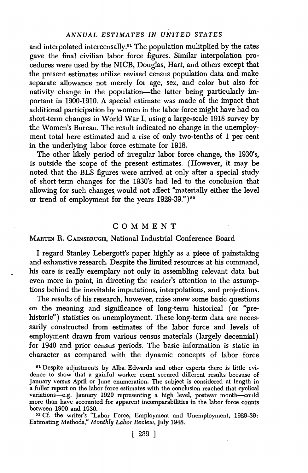and interpolated intercensally.<sup>51</sup> The population mulitplied by the rates gave the final civilian labor force figures. Similar interpolation procedures were used by the NICB, Douglas, Hart, and others except that the present estimates utilize revised census population data and make separate allowance not merely for age, sex, and color but also for nativity change in the population—the latter being particularly important in 1900-1910. A special estimate was made of the impact that additional participation by women in the labor force might have had on short-term changes in World War I, using a large-scale 1918 survey by the Women's Bureau. The result indicated no change in the unemployment total here estimated and a rise of only two-tenths of 1 per cent in the underlying labor force estimate for 1918.

The other likely period of irregular labor force change, the 1930's, is outside the scope of the present estimates. (However, it may be noted that the BLS figures were arrived at only after a special study of short-term changes for the 1930's had led to the conclusion that allowing for such changes would not affect "materially either the level or trend of employment for the years  $1929-39$ .")<sup>52</sup>

### COMMENT

MARTIN R. GAINSBRUCH, National Industrial Conference Board

I regard Stanley Lebergott's paper highly as a piece of painstaking and exhaustive research. Despite the limited resources at his command, his care is really exemplary not only in assembling relevant data but even more in point, in directing the reader's attention to the assumptions behind the inevitable imputations, interpolations, and projections.

The results of his research, however, raise anew some basic questions on the meaning and significance of long-term historical (or "prehistoric") statistics on unemployment. These long-term data are necessarily constructed from estimates of the labor force and levels of employment drawn from various census materials (largely decennial) for 1940 and prior census periods. The basic information is static in character as compared with the dynamic concepts of labor force

51Despite adjustments by Alba. Edwards and other experts there is little evidence to show that a gainful worker count secured different results because of January versus April or June enumeration. The subject is considered at length in a fuller report on the labor force estimates with the conclusion reached that cyclical variations—e.g. January 1920 representing a high level, postwar month—could more than have accounted for apparent incomparabilities in the labor force counts between 1900 and 1930.

Cf. the writer's "Labor Force, Employment and Unemployment, 1929-39: Estimating Methods," Monthly Labor Review, July 1948.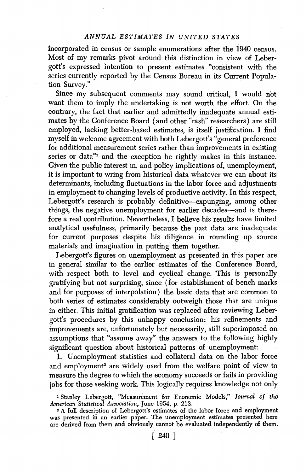incorporated in census or sample enumerations after the 1940 census. Most of my remarks pivot around this distinction in view of Lebergott's expressed intention to present estimates "consistent with the series currently reported by the Census Bureau in its Current Population Survey."

Since my subsequent comments may sound critical, I would not want them to imply the undertaking is not worth the effort. On the contrary, the fact that earlier and admittedly inadequate annual estimates by the Conference Board (and other "rash" researchers) are still employed, lacking better-based estimates, is itself justification. I find myself in welcome agreement with both Lebergott's "general preference for additional measurement series rather than improvements in existing series or data"<sup>1</sup> and the exception he rightly makes in this instance. Given the public interest in, and policy implications of, unemployment, it is important to wring from historical data whatever we can about its determinants, including fluctuations in the labor force and adjustments in employment to changing levels of productive activity. In this respect, Lebergott's research is probably definitive—expunging, among other things, the negative unemployment for earlier decades—and is therefore a real contribution. Nevertheless, I believe his results have limited analytical usefulness, primarily because the past data are inadequate for current purposes despite his diligence in rounding up source materials and imagination in putting them together.

Lebergott's figures on unemployment as presented in this paper are in general similar to the earlier estimates of the Conference Board, with respect both to level and cyclical change. This is personally gratifying but not surprising, since (for establishment of bench marks and for purposes of interpolation) the basic data that are common to both series of estimates considerably outweigh those that are unique in either. This initial gratification was replaced after reviewing Lebergott's procedures by this unhappy conclusion: his refinements and improvements are, unfortunately but necessarily, still superimposed on assumptions that "assume away" the answers to the following highly significant question about historical patterns of unemployment:

1. Unemployment statistics and collateral data on the labor force and employment<sup>2</sup> are widely used from the welfare point of view to measure the degree to which the economy succeeds or fails in providing jobs for those seeking work. This logically requires knowledge not only

Stanley Lebergott, "Measurement for Economic Models," Journal of the American Statistical Association, June 1954, p. 213.

<sup>2</sup> A full description of Lebergott's estimates of the labor force and employment was presented in an earlier paper. The unemployment estimates presented here are derived from them and obviously cannot be evaluated independently of them.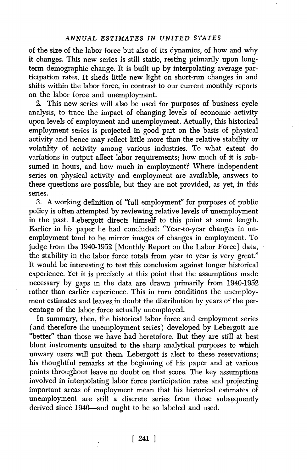of the size of the labor force but also of its dynamics, of how and why it changes. This new series is still static, resting primarily upon longterm demographic change. It is built up by interpolating average participation rates. It sheds little new light on short-run changes in and shifts within the labor force, in contrast to our current monthly reports on the labor force and unemployment.

2. This new series will also be used for purposes of business cycle analysis, to trace the impact of changing levels of economic activity upon levels of employment and unemployment. Actually, this historical employment series is projected in good part on the basis of physical activity and hence may reflect little more than the relative stability or volatility of activity among various industries. To what extent do variations in output affect labor requirements; how much of it is subsumed in hours, and how much in employment? Where independent series on physical activity and employment are available, answers to these questions are possible, but they are not provided, as yet, in this series.

3. A working definition of "full employment" for purposes of public policy is often attempted by reviewing relative levels of unemployment in the past. Lebergott directs himself to this point at some length. Earlier in his paper he had concluded: "Year-to-year changes in unemployment tend to be mirror images of changes in employment. To judge from the 1940-1952 [Monthly Report on the Labor Forcej data, the stability in the labor force totals from year to year is very great." It would be interesting to test this conclusion against longer historical experience. Yet it is precisely at this point that the assumptions made necessary by gaps in the data are drawn primarily from 1940-1952 rather than earlier experience. This in turn conditions the unemployment estimates and leaves in doubt the distribution by years of the percentage of the labor force actually unemployed.

In summary, then, the historical labor force and employment series (and therefore the unemployment series) developed by Lebergott are "better" than those we have had heretofore. But they are still at best blunt instruments unsuited to the sharp analytical purposes to which unwary users will put them. Lebergott is alert to these reservations; his thoughtful remarks at the beginning of his paper and at various points throughout leave no doubt on that score. The key assumptions involved in interpolating labor force participation rates and projecting important areas of employment mean that his historical estimates of unemployment are still a discrete series from those subsequently derived since 1940—and ought to be so labeled and used.